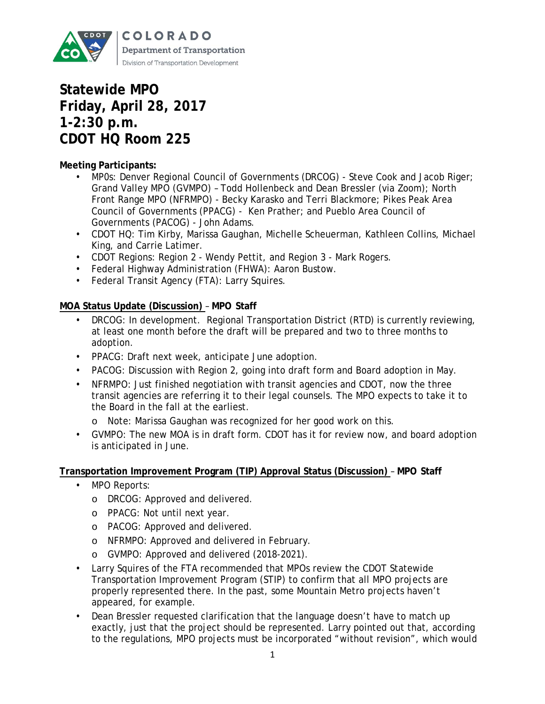

# **Statewide MPO Friday, April 28, 2017 1-2:30 p.m. CDOT HQ Room 225**

## **Meeting Participants:**

- MP0s: Denver Regional Council of Governments (DRCOG) Steve Cook and Jacob Riger; Grand Valley MPO (GVMPO) – Todd Hollenbeck and Dean Bressler (via Zoom); North Front Range MPO (NFRMPO) - Becky Karasko and Terri Blackmore; Pikes Peak Area Council of Governments (PPACG) - Ken Prather; and Pueblo Area Council of Governments (PACOG) - John Adams.
- CDOT HQ: Tim Kirby, Marissa Gaughan, Michelle Scheuerman, Kathleen Collins, Michael King, and Carrie Latimer.
- CDOT Regions: Region 2 Wendy Pettit, and Region 3 Mark Rogers.
- Federal Highway Administration (FHWA): Aaron Bustow.
- Federal Transit Agency (FTA): Larry Squires.

## **MOA Status Update (Discussion)** – **MPO Staff**

- DRCOG: In development. Regional Transportation District (RTD) is currently reviewing, at least one month before the draft will be prepared and two to three months to adoption.
- PPACG: Draft next week, anticipate June adoption.
- PACOG: Discussion with Region 2, going into draft form and Board adoption in May.
- NFRMPO: Just finished negotiation with transit agencies and CDOT, now the three transit agencies are referring it to their legal counsels. The MPO expects to take it to the Board in the fall at the earliest.
	- o Note: Marissa Gaughan was recognized for her good work on this.
- GVMPO: The new MOA is in draft form. CDOT has it for review now, and board adoption is anticipated in June.

## **Transportation Improvement Program (TIP) Approval Status (Discussion)** – **MPO Staff**

- MPO Reports:
	- o DRCOG: Approved and delivered.
	- o PPACG: Not until next year.
	- o PACOG: Approved and delivered.
	- o NFRMPO: Approved and delivered in February.
	- o GVMPO: Approved and delivered (2018-2021).
- Larry Squires of the FTA recommended that MPOs review the CDOT Statewide Transportation Improvement Program (STIP) to confirm that all MPO projects are properly represented there. In the past, some Mountain Metro projects haven't appeared, for example.
- Dean Bressler requested clarification that the language doesn't have to match up exactly, just that the project should be represented. Larry pointed out that, according to the regulations, MPO projects must be incorporated "without revision", which would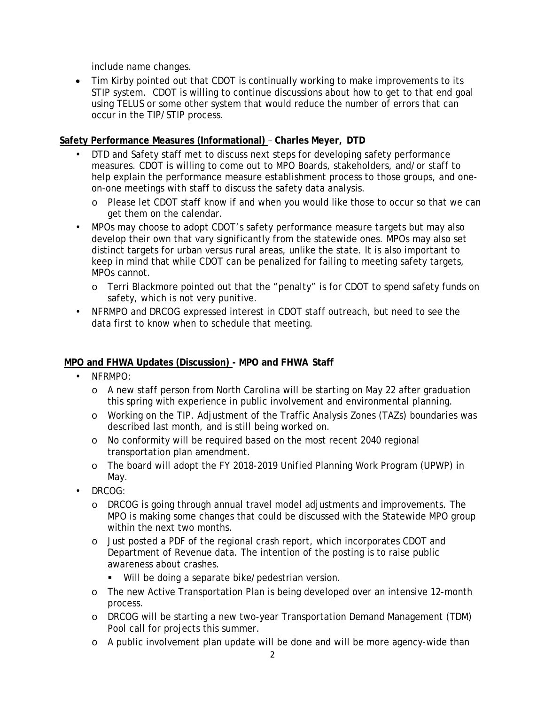include name changes.

• Tim Kirby pointed out that CDOT is continually working to make improvements to its STIP system. CDOT is willing to continue discussions about how to get to that end goal using TELUS or some other system that would reduce the number of errors that can occur in the TIP/STIP process.

## **Safety Performance Measures (Informational)** – **Charles Meyer, DTD**

- DTD and Safety staff met to discuss next steps for developing safety performance measures. CDOT is willing to come out to MPO Boards, stakeholders, and/or staff to help explain the performance measure establishment process to those groups, and oneon-one meetings with staff to discuss the safety data analysis.
	- o Please let CDOT staff know if and when you would like those to occur so that we can get them on the calendar.
- MPOs may choose to adopt CDOT's safety performance measure targets but may also develop their own that vary significantly from the statewide ones. MPOs may also set distinct targets for urban versus rural areas, unlike the state. It is also important to keep in mind that while CDOT can be penalized for failing to meeting safety targets, MPOs cannot.
	- o Terri Blackmore pointed out that the "penalty" is for CDOT to spend safety funds on safety, which is not very punitive.
- NFRMPO and DRCOG expressed interest in CDOT staff outreach, but need to see the data first to know when to schedule that meeting.

## **MPO and FHWA Updates (Discussion) - MPO and FHWA Staff**

- NFRMPO:
	- o A new staff person from North Carolina will be starting on May 22 after graduation this spring with experience in public involvement and environmental planning.
	- o Working on the TIP. Adjustment of the Traffic Analysis Zones (TAZs) boundaries was described last month, and is still being worked on.
	- o No conformity will be required based on the most recent 2040 regional transportation plan amendment.
	- o The board will adopt the FY 2018-2019 Unified Planning Work Program (UPWP) in May.
- DRCOG:
	- o DRCOG is going through annual travel model adjustments and improvements. The MPO is making some changes that could be discussed with the Statewide MPO group within the next two months.
	- o Just posted a PDF of the regional crash report, which incorporates CDOT and Department of Revenue data. The intention of the posting is to raise public awareness about crashes.
		- **Will be doing a separate bike/pedestrian version.**
	- o The new Active Transportation Plan is being developed over an intensive 12-month process.
	- o DRCOG will be starting a new two-year Transportation Demand Management (TDM) Pool call for projects this summer.
	- o A public involvement plan update will be done and will be more agency-wide than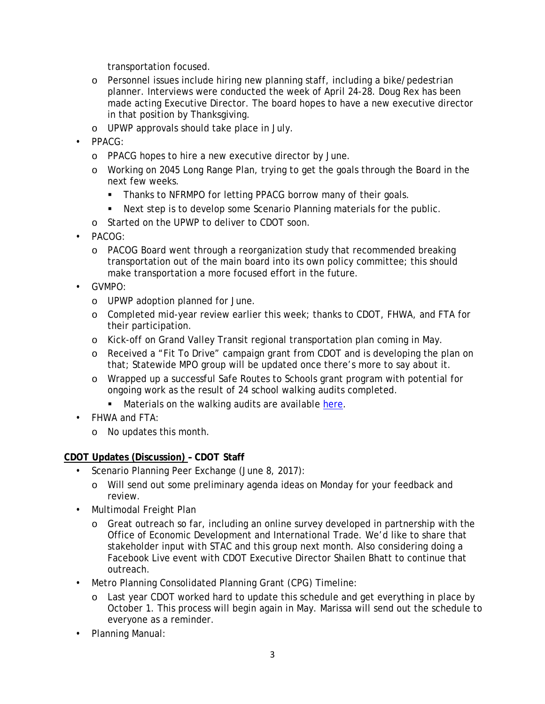transportation focused.

- o Personnel issues include hiring new planning staff, including a bike/pedestrian planner. Interviews were conducted the week of April 24-28. Doug Rex has been made acting Executive Director. The board hopes to have a new executive director in that position by Thanksgiving.
- o UPWP approvals should take place in July.
- PPACG:
	- o PPACG hopes to hire a new executive director by June.
	- o Working on 2045 Long Range Plan, trying to get the goals through the Board in the next few weeks.
		- Thanks to NFRMPO for letting PPACG borrow many of their goals.
		- Next step is to develop some Scenario Planning materials for the public.
	- o Started on the UPWP to deliver to CDOT soon.
- PACOG:
	- o PACOG Board went through a reorganization study that recommended breaking transportation out of the main board into its own policy committee; this should make transportation a more focused effort in the future.
- GVMPO:
	- o UPWP adoption planned for June.
	- o Completed mid-year review earlier this week; thanks to CDOT, FHWA, and FTA for their participation.
	- o Kick-off on Grand Valley Transit regional transportation plan coming in May.
	- o Received a "Fit To Drive" campaign grant from CDOT and is developing the plan on that; Statewide MPO group will be updated once there's more to say about it.
	- o Wrapped up a successful Safe Routes to Schools grant program with potential for ongoing work as the result of 24 school walking audits completed.
		- **Materials on the walking audits are available [here.](http://rtpo.mesacounty.us/template.aspx?id=26911)**
- FHWA and FTA:
	- o No updates this month.

## **CDOT Updates (Discussion) – CDOT Staff**

- Scenario Planning Peer Exchange (June 8, 2017):
	- o Will send out some preliminary agenda ideas on Monday for your feedback and review.
- Multimodal Freight Plan
	- o Great outreach so far, including an online survey developed in partnership with the Office of Economic Development and International Trade. We'd like to share that stakeholder input with STAC and this group next month. Also considering doing a Facebook Live event with CDOT Executive Director Shailen Bhatt to continue that outreach.
- Metro Planning Consolidated Planning Grant (CPG) Timeline:
	- o Last year CDOT worked hard to update this schedule and get everything in place by October 1. This process will begin again in May. Marissa will send out the schedule to everyone as a reminder.
- Planning Manual: